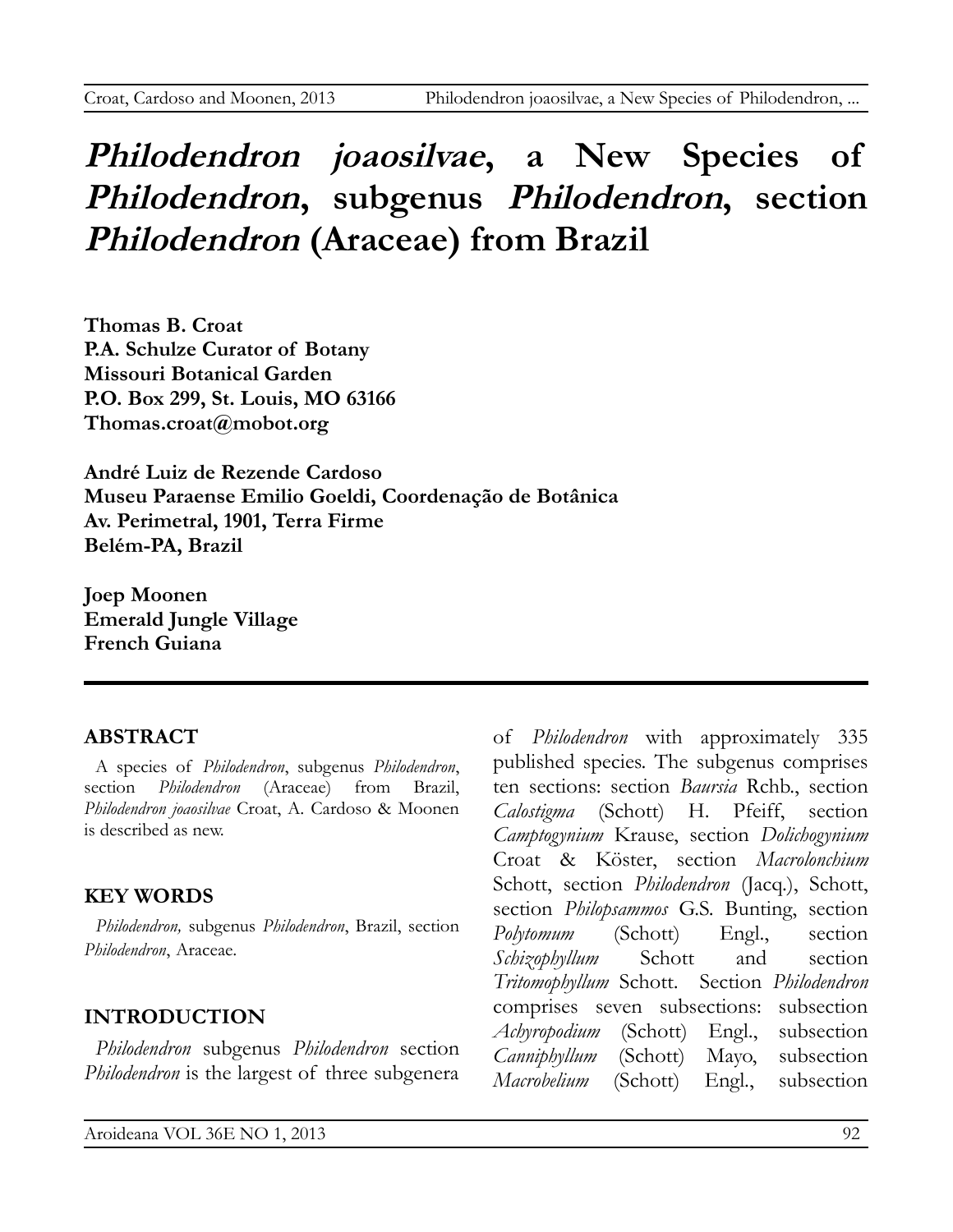# **Philodendron joaosilvae, a New Species of Philodendron, subgenus Philodendron, section Philodendron (Araceae) from Brazil**

**Thomas B. Croat P.A. Schulze Curator of Botany Missouri Botanical Garden P.O. Box 299, St. Louis, MO 63166 [Thomas.croat@mobot.org](mailto:Thomas.croat@mobot.org)**

**André Luiz de Rezende Cardoso Museu Paraense Emilio Goeldi, Coordenação de Botânica Av. Perimetral, 1901, Terra Firme Belém-PA, Brazil**

**Joep Moonen Emerald Jungle Village French Guiana**

# **ABSTRACT**

A species of *Philodendron*, subgenus *Philodendron*, section *Philodendron* (Araceae) from Brazil, *Philodendron joaosilvae* Croat, A. Cardoso & Moonen is described as new.

# **KEY WORDS**

*Philodendron,* subgenus *Philodendron*, Brazil, section *Philodendron*, Araceae.

# **INTRODUCTION**

*Philodendron* subgenus *Philodendron* section *Philodendron* is the largest of three subgenera

of *Philodendron* with approximately 335 published species. The subgenus comprises ten sections: section *Baursia* Rchb., section *Calostigma* (Schott) H. Pfeiff, section *Camptogynium* Krause, section *Dolichogynium* Croat & Köster, section *Macrolonchium* Schott, section *Philodendron* (Jacq.), Schott, section *Philopsammos* G.S. Bunting, section *Polytomum* (Schott) Engl., section *Schizophyllum* Schott and section *Tritomophyllum* Schott. Section *Philodendron* comprises seven subsections: subsection *Achyropodium* (Schott) Engl., subsection *Canniphyllum* (Schott) Mayo, subsection *Macrobelium* (Schott) Engl., subsection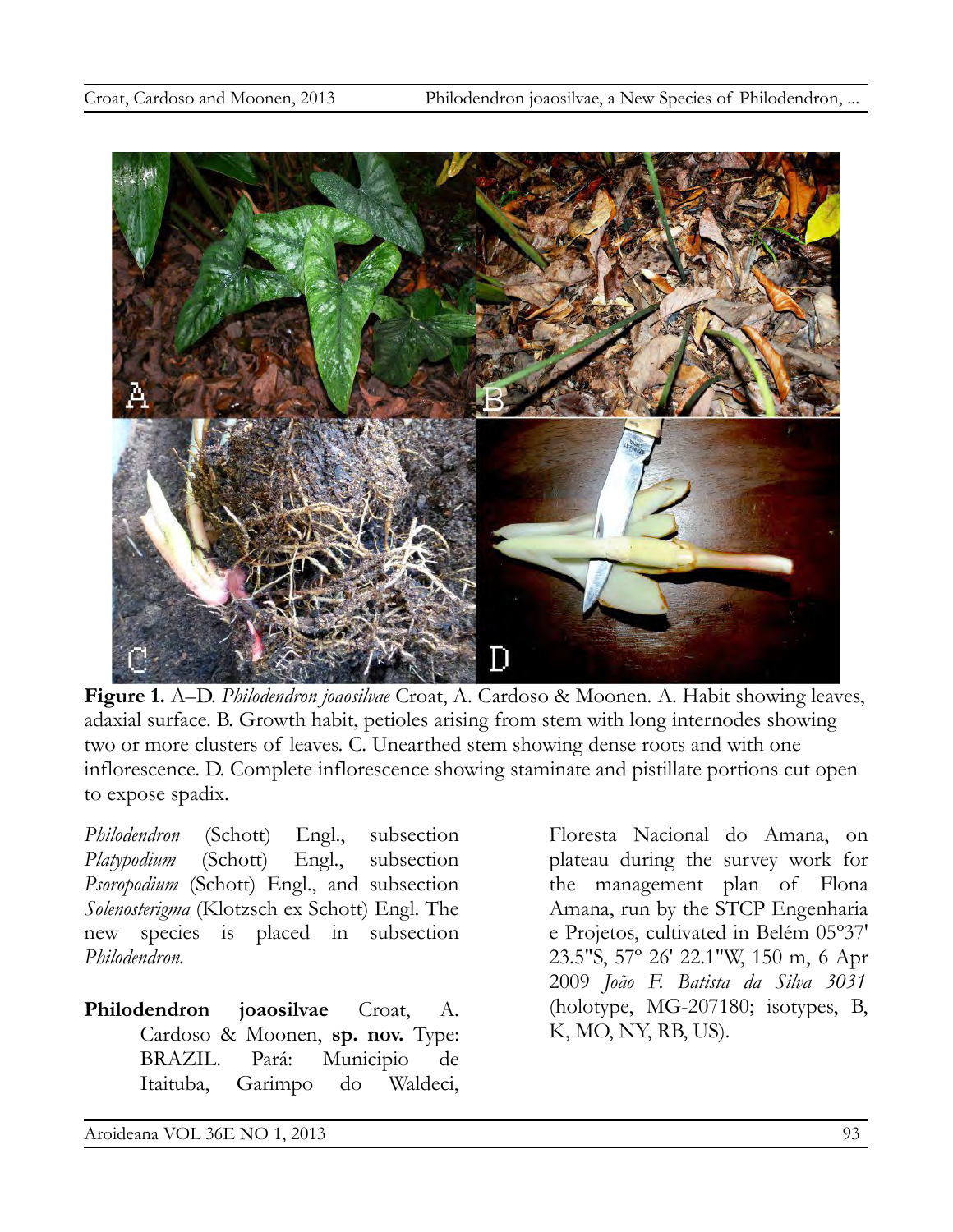

**Figure 1.** A–D. *Philodendron joaosilvae* Croat, A. Cardoso & Moonen. A. Habit showing leaves, adaxial surface. B. Growth habit, petioles arising from stem with long internodes showing two or more clusters of leaves. C. Unearthed stem showing dense roots and with one inflorescence. D. Complete inflorescence showing staminate and pistillate portions cut open to expose spadix.

*Philodendron* (Schott) Engl., subsection *Platypodium* (Schott) Engl., subsection *Psoropodium* (Schott) Engl., and subsection *Solenosterigma* (Klotzsch ex Schott) Engl. The new species is placed in subsection *Philodendron.*

**Philodendron joaosilvae** Croat, A. Cardoso & Moonen, **sp. nov.** Type: BRAZIL. Pará: Municipio de Itaituba, Garimpo do Waldeci,

Floresta Nacional do Amana, on plateau during the survey work for the management plan of Flona Amana, run by the STCP Engenharia e Projetos, cultivated in Belém 05º37' 23.5"S, 57º 26' 22.1"W, 150 m, 6 Apr 2009 *João F. Batista da Silva 3031* (holotype, MG-207180; isotypes, B, K, MO, NY, RB, US)*.*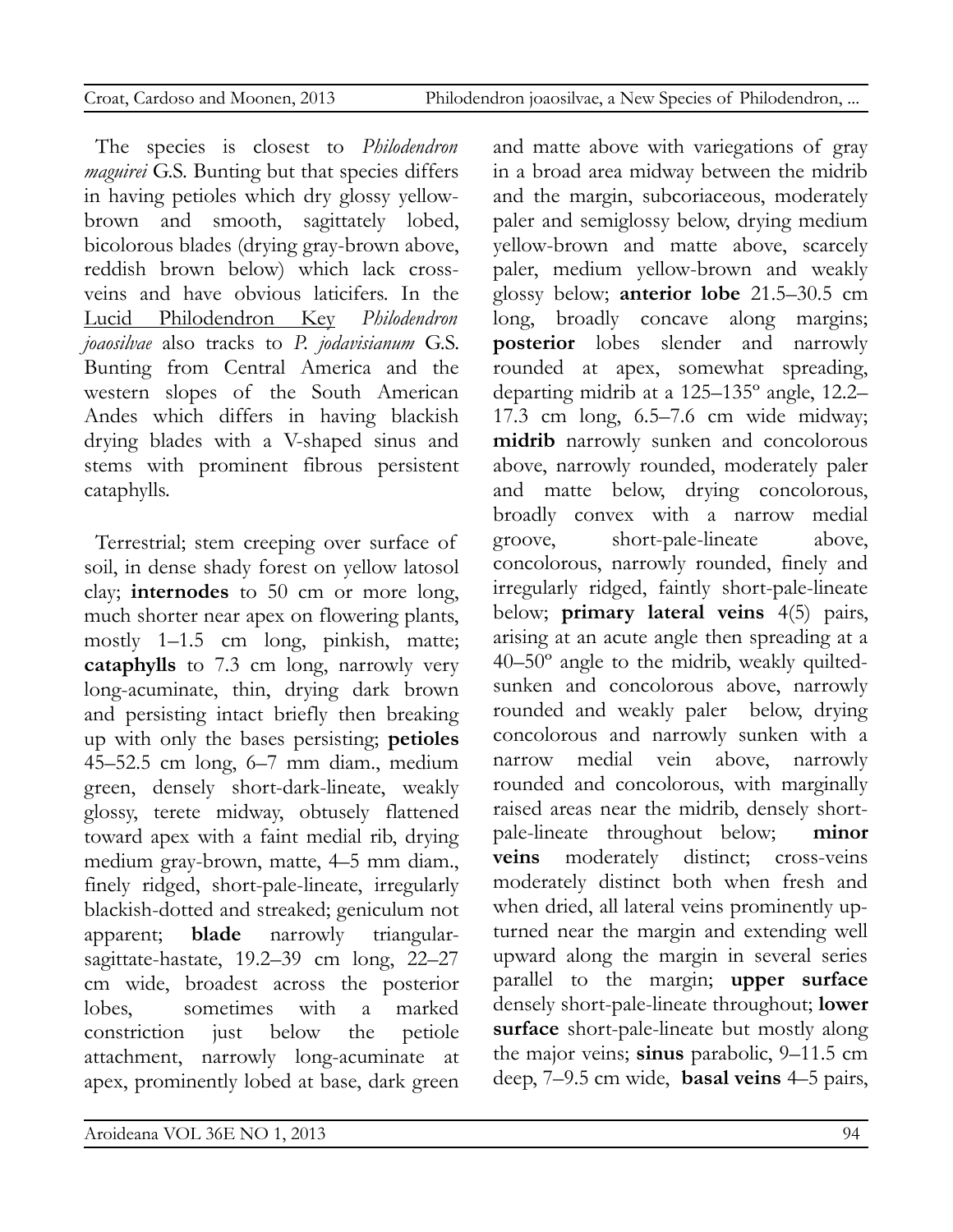|  |  | Croat, Cardoso and Moonen, 201 |  |
|--|--|--------------------------------|--|
|  |  |                                |  |

d Moonen, 2013 Philodendron joaosilvae, a New Species of Philodendron, ...

The species is closest to *Philodendron maguirei* G.S. Bunting but that species differs in having petioles which dry glossy yellowbrown and smooth, sagittately lobed, bicolorous blades (drying gray-brown above, reddish brown below) which lack crossveins and have obvious laticifers. In the Lucid Philodendron Key *Philodendron joaosilvae* also tracks to *P. jodavisianum* G.S. Bunting from Central America and the western slopes of the South American Andes which differs in having blackish drying blades with a V-shaped sinus and stems with prominent fibrous persistent cataphylls.

Terrestrial; stem creeping over surface of soil, in dense shady forest on yellow latosol clay; **internodes** to 50 cm or more long, much shorter near apex on flowering plants, mostly 1–1.5 cm long, pinkish, matte; **cataphylls** to 7.3 cm long, narrowly very long-acuminate, thin, drying dark brown and persisting intact briefly then breaking up with only the bases persisting; **petioles** 45–52.5 cm long, 6–7 mm diam., medium green, densely short-dark-lineate, weakly glossy, terete midway, obtusely flattened toward apex with a faint medial rib, drying medium gray-brown, matte, 4–5 mm diam., finely ridged, short-pale-lineate, irregularly blackish-dotted and streaked; geniculum not apparent; **blade** narrowly triangularsagittate-hastate, 19.2–39 cm long, 22–27 cm wide, broadest across the posterior lobes, sometimes with a marked constriction just below the petiole attachment, narrowly long-acuminate at apex, prominently lobed at base, dark green and matte above with variegations of gray in a broad area midway between the midrib and the margin, subcoriaceous, moderately paler and semiglossy below, drying medium yellow-brown and matte above, scarcely paler, medium yellow-brown and weakly glossy below; **anterior lobe** 21.5–30.5 cm long, broadly concave along margins; **posterior** lobes slender and narrowly rounded at apex, somewhat spreading, departing midrib at a 125–135º angle, 12.2– 17.3 cm long, 6.5–7.6 cm wide midway; **midrib** narrowly sunken and concolorous above, narrowly rounded, moderately paler and matte below, drying concolorous, broadly convex with a narrow medial groove, short-pale-lineate above, concolorous, narrowly rounded, finely and irregularly ridged, faintly short-pale-lineate below; **primary lateral veins** 4(5) pairs, arising at an acute angle then spreading at a 40–50º angle to the midrib, weakly quiltedsunken and concolorous above, narrowly rounded and weakly paler below, drying concolorous and narrowly sunken with a narrow medial vein above, narrowly rounded and concolorous, with marginally raised areas near the midrib, densely shortpale-lineate throughout below; **minor veins** moderately distinct; cross-veins moderately distinct both when fresh and when dried, all lateral veins prominently upturned near the margin and extending well upward along the margin in several series parallel to the margin; **upper surface** densely short-pale-lineate throughout; **lower surface** short-pale-lineate but mostly along the major veins; **sinus** parabolic, 9–11.5 cm deep, 7–9.5 cm wide, **basal veins** 4–5 pairs,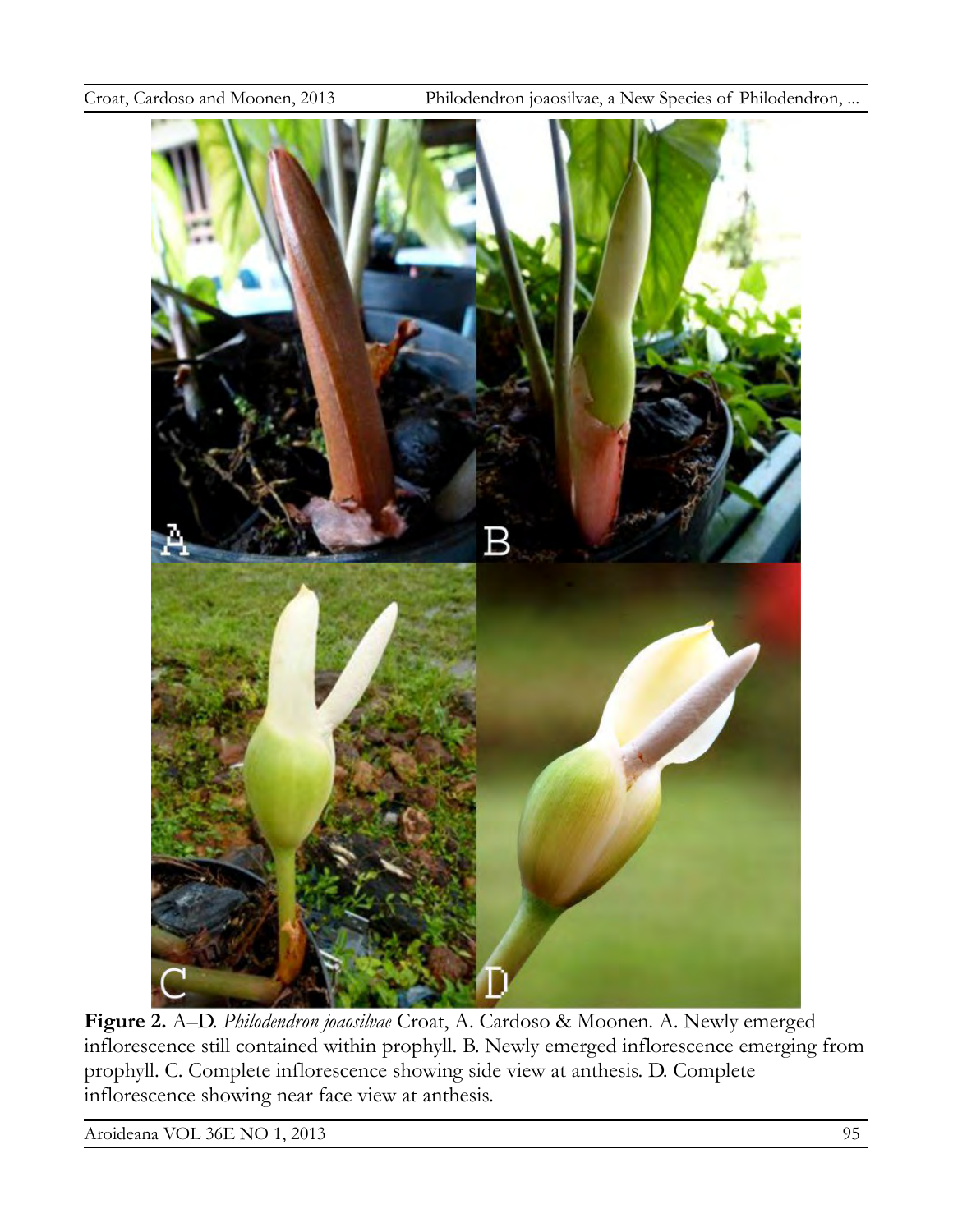Croat, Cardoso and Moonen, 2013 Philodendron joaosilvae, a New Species of Philodendron, ...



**Figure 2.** A–D. *Philodendron joaosilvae* Croat, A. Cardoso & Moonen. A. Newly emerged inflorescence still contained within prophyll. B. Newly emerged inflorescence emerging from prophyll. C. Complete inflorescence showing side view at anthesis. D. Complete inflorescence showing near face view at anthesis.

Aroideana VOL 36E NO 1, 2013 95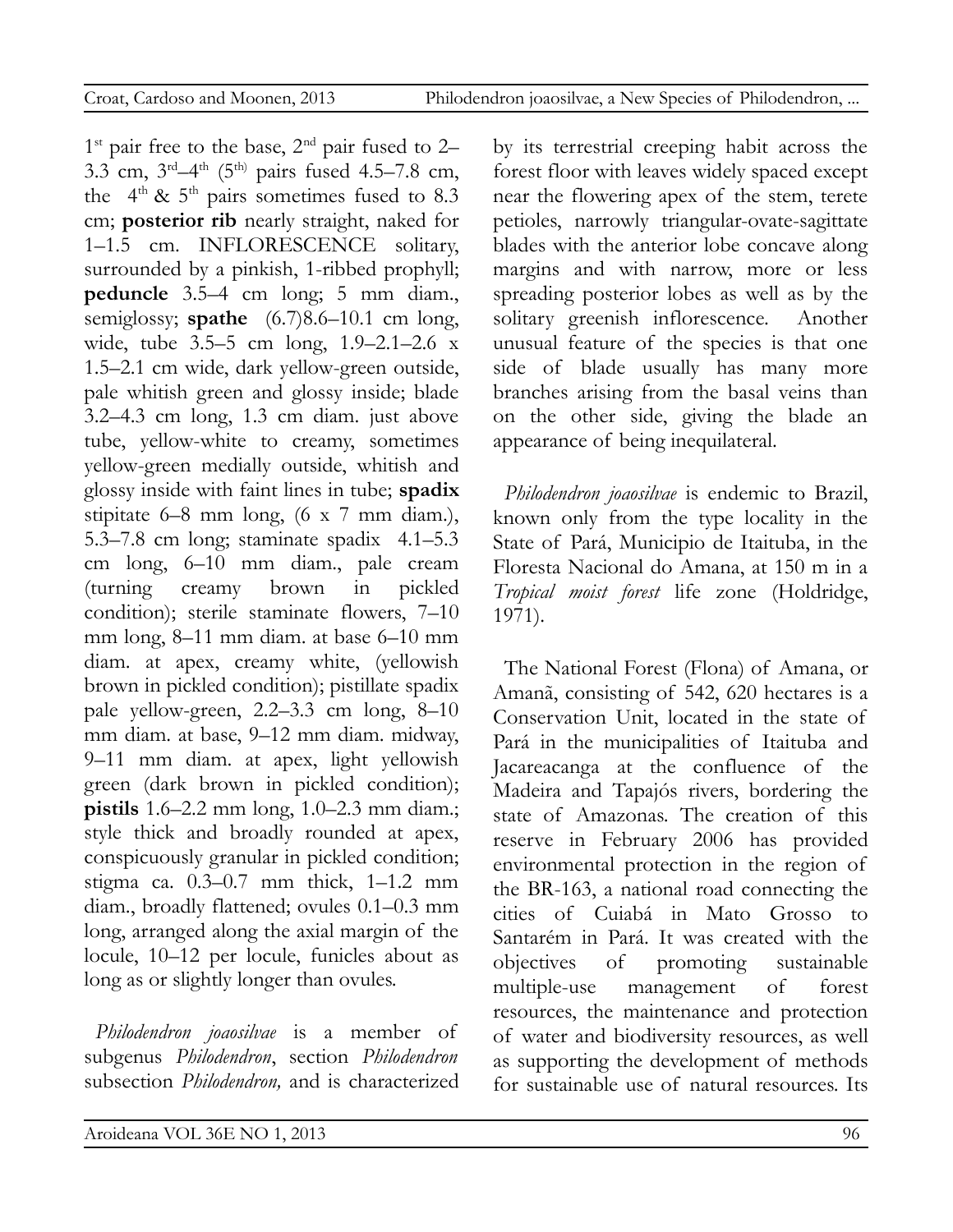$1<sup>st</sup>$  pair free to the base,  $2<sup>nd</sup>$  pair fused to 2– 3.3 cm,  $3^{\text{rd}} - 4^{\text{th}}$  (5<sup>th)</sup> pairs fused 4.5–7.8 cm, the  $4<sup>th</sup>$  &  $5<sup>th</sup>$  pairs sometimes fused to 8.3 cm; **posterior rib** nearly straight, naked for 1–1.5 cm. INFLORESCENCE solitary, surrounded by a pinkish, 1-ribbed prophyll; **peduncle** 3.5–4 cm long; 5 mm diam., semiglossy; **spathe** (6.7)8.6–10.1 cm long, wide, tube 3.5–5 cm long, 1.9–2.1–2.6 x 1.5–2.1 cm wide, dark yellow-green outside, pale whitish green and glossy inside; blade 3.2–4.3 cm long, 1.3 cm diam. just above tube, yellow-white to creamy, sometimes yellow-green medially outside, whitish and glossy inside with faint lines in tube; **spadix** stipitate 6–8 mm long, (6 x 7 mm diam.), 5.3–7.8 cm long; staminate spadix 4.1–5.3 cm long, 6–10 mm diam., pale cream (turning creamy brown in pickled condition); sterile staminate flowers, 7–10 mm long, 8–11 mm diam. at base 6–10 mm diam. at apex, creamy white, (yellowish brown in pickled condition); pistillate spadix pale yellow-green, 2.2–3.3 cm long, 8–10 mm diam. at base, 9–12 mm diam. midway, 9–11 mm diam. at apex, light yellowish green (dark brown in pickled condition); **pistils** 1.6–2.2 mm long, 1.0–2.3 mm diam.; style thick and broadly rounded at apex, conspicuously granular in pickled condition; stigma ca. 0.3–0.7 mm thick, 1–1.2 mm diam., broadly flattened; ovules 0.1–0.3 mm long, arranged along the axial margin of the locule, 10–12 per locule, funicles about as long as or slightly longer than ovules.

*Philodendron joaosilvae* is a member of subgenus *Philodendron*, section *Philodendron* subsection *Philodendron,* and is characterized by its terrestrial creeping habit across the forest floor with leaves widely spaced except near the flowering apex of the stem, terete petioles, narrowly triangular-ovate-sagittate blades with the anterior lobe concave along margins and with narrow, more or less spreading posterior lobes as well as by the solitary greenish inflorescence. Another unusual feature of the species is that one side of blade usually has many more branches arising from the basal veins than on the other side, giving the blade an appearance of being inequilateral.

*Philodendron joaosilvae* is endemic to Brazil, known only from the type locality in the State of Pará, Municipio de Itaituba, in the Floresta Nacional do Amana, at 150 m in a *Tropical moist forest* life zone (Holdridge, 1971).

The National Forest (Flona) of Amana, or Amanã, consisting of 542, 620 hectares is a Conservation Unit, located in the state of Pará in the municipalities of Itaituba and Jacareacanga at the confluence of the Madeira and Tapajós rivers, bordering the state of Amazonas. The creation of this reserve in February 2006 has provided environmental protection in the region of the BR-163, a national road connecting the cities of Cuiabá in Mato Grosso to Santarém in Pará. It was created with the objectives of promoting sustainable multiple-use management of forest resources, the maintenance and protection of water and biodiversity resources, as well as supporting the development of methods for sustainable use of natural resources. Its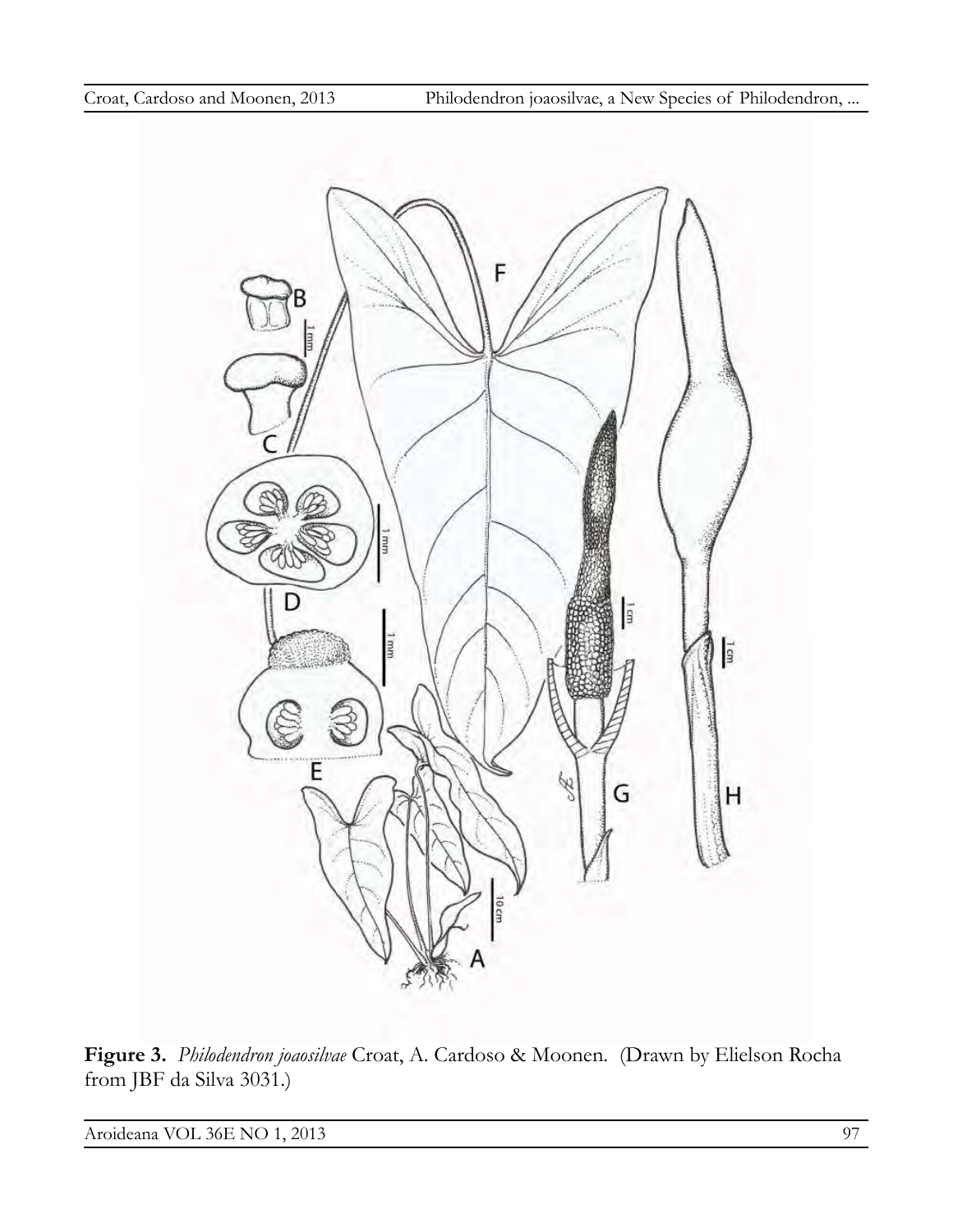

**Figure 3.** *Philodendron joaosilvae* Croat, A. Cardoso & Moonen. (Drawn by Elielson Rocha from JBF da Silva 3031.)

Aroideana VOL 36E NO 1, 2013 97